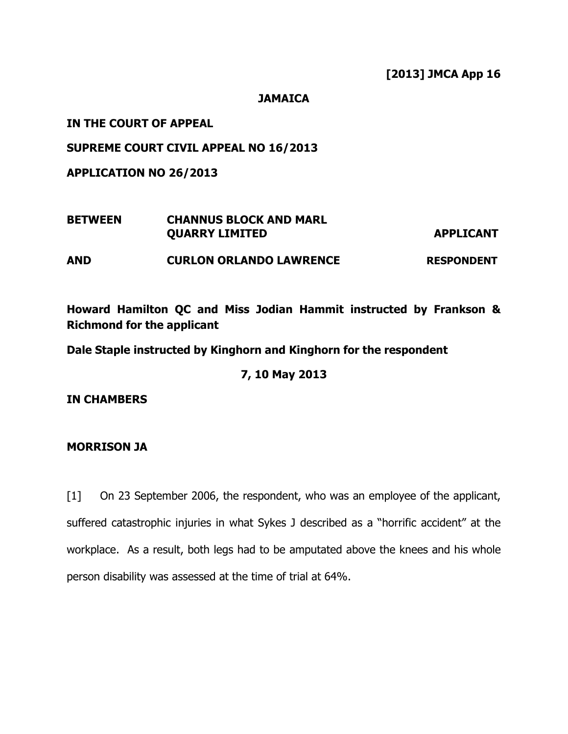#### JAMAICA

# IN THE COURT OF APPEAL

## SUPREME COURT CIVIL APPEAL NO 16/2013

APPLICATION NO 26/2013

| <b>BETWEEN</b> | <b>CHANNUS BLOCK AND MARL</b><br><b>QUARRY LIMITED</b> | <b>APPLICANT</b>  |
|----------------|--------------------------------------------------------|-------------------|
| <b>AND</b>     | <b>CURLON ORLANDO LAWRENCE</b>                         | <b>RESPONDENT</b> |

# Howard Hamilton QC and Miss Jodian Hammit instructed by Frankson & Richmond for the applicant

Dale Staple instructed by Kinghorn and Kinghorn for the respondent

7, 10 May 2013

IN CHAMBERS

MORRISON JA

[1] On 23 September 2006, the respondent, who was an employee of the applicant, suffered catastrophic injuries in what Sykes J described as a "horrific accident" at the workplace. As a result, both legs had to be amputated above the knees and his whole person disability was assessed at the time of trial at 64%.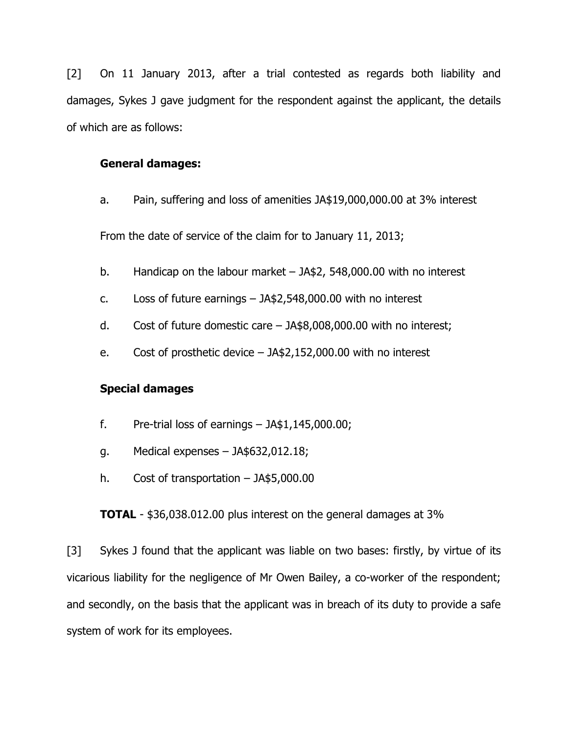[2] On 11 January 2013, after a trial contested as regards both liability and damages, Sykes J gave judgment for the respondent against the applicant, the details of which are as follows:

### General damages:

a. Pain, suffering and loss of amenities JA\$19,000,000.00 at 3% interest

From the date of service of the claim for to January 11, 2013;

- b. Handicap on the labour market JA\$2, 548,000.00 with no interest
- c. Loss of future earnings JA\$2,548,000.00 with no interest
- d. Cost of future domestic care JA\$8,008,000.00 with no interest;
- e. Cost of prosthetic device JA\$2,152,000.00 with no interest

# Special damages

- f. Pre-trial loss of earnings  $-$  JA\$1,145,000.00;
- g. Medical expenses JA\$632,012.18;
- h. Cost of transportation JA\$5,000.00

**TOTAL** - \$36,038.012.00 plus interest on the general damages at 3%

[3] Sykes J found that the applicant was liable on two bases: firstly, by virtue of its vicarious liability for the negligence of Mr Owen Bailey, a co-worker of the respondent; and secondly, on the basis that the applicant was in breach of its duty to provide a safe system of work for its employees.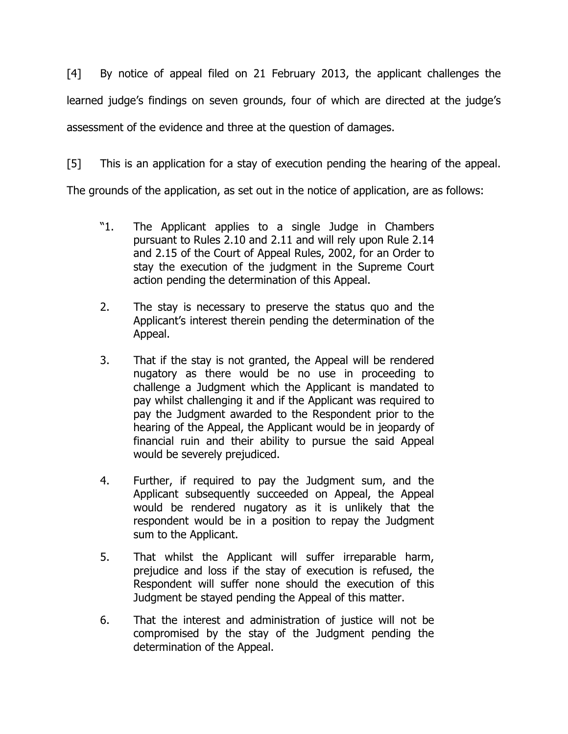[4] By notice of appeal filed on 21 February 2013, the applicant challenges the learned judge's findings on seven grounds, four of which are directed at the judge's assessment of the evidence and three at the question of damages.

[5] This is an application for a stay of execution pending the hearing of the appeal.

The grounds of the application, as set out in the notice of application, are as follows:

- "1. The Applicant applies to a single Judge in Chambers pursuant to Rules 2.10 and 2.11 and will rely upon Rule 2.14 and 2.15 of the Court of Appeal Rules, 2002, for an Order to stay the execution of the judgment in the Supreme Court action pending the determination of this Appeal.
- 2. The stay is necessary to preserve the status quo and the Applicant's interest therein pending the determination of the Appeal.
- 3. That if the stay is not granted, the Appeal will be rendered nugatory as there would be no use in proceeding to challenge a Judgment which the Applicant is mandated to pay whilst challenging it and if the Applicant was required to pay the Judgment awarded to the Respondent prior to the hearing of the Appeal, the Applicant would be in jeopardy of financial ruin and their ability to pursue the said Appeal would be severely prejudiced.
- 4. Further, if required to pay the Judgment sum, and the Applicant subsequently succeeded on Appeal, the Appeal would be rendered nugatory as it is unlikely that the respondent would be in a position to repay the Judgment sum to the Applicant.
- 5. That whilst the Applicant will suffer irreparable harm, prejudice and loss if the stay of execution is refused, the Respondent will suffer none should the execution of this Judgment be stayed pending the Appeal of this matter.
- 6. That the interest and administration of justice will not be compromised by the stay of the Judgment pending the determination of the Appeal.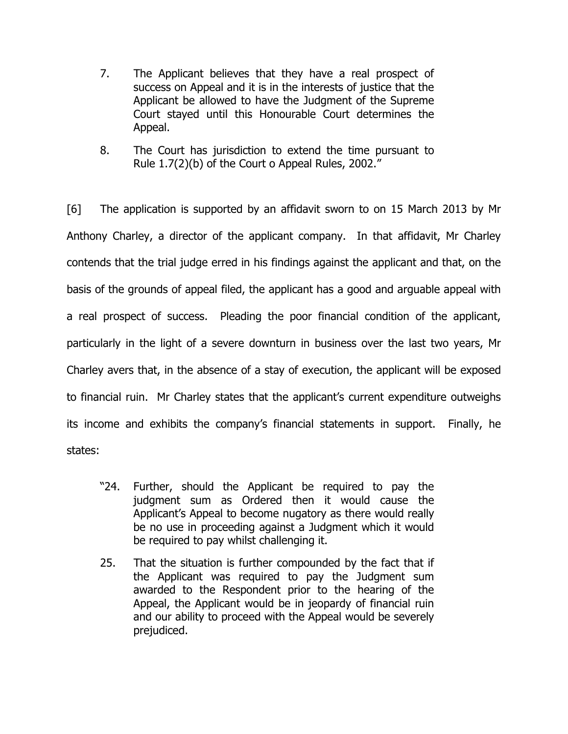- 7. The Applicant believes that they have a real prospect of success on Appeal and it is in the interests of justice that the Applicant be allowed to have the Judgment of the Supreme Court stayed until this Honourable Court determines the Appeal.
- 8. The Court has jurisdiction to extend the time pursuant to Rule 1.7(2)(b) of the Court o Appeal Rules, 2002."

[6] The application is supported by an affidavit sworn to on 15 March 2013 by Mr Anthony Charley, a director of the applicant company. In that affidavit, Mr Charley contends that the trial judge erred in his findings against the applicant and that, on the basis of the grounds of appeal filed, the applicant has a good and arguable appeal with a real prospect of success. Pleading the poor financial condition of the applicant, particularly in the light of a severe downturn in business over the last two years, Mr Charley avers that, in the absence of a stay of execution, the applicant will be exposed to financial ruin. Mr Charley states that the applicant's current expenditure outweighs its income and exhibits the company's financial statements in support. Finally, he states:

- "24. Further, should the Applicant be required to pay the judgment sum as Ordered then it would cause the Applicant's Appeal to become nugatory as there would really be no use in proceeding against a Judgment which it would be required to pay whilst challenging it.
- 25. That the situation is further compounded by the fact that if the Applicant was required to pay the Judgment sum awarded to the Respondent prior to the hearing of the Appeal, the Applicant would be in jeopardy of financial ruin and our ability to proceed with the Appeal would be severely prejudiced.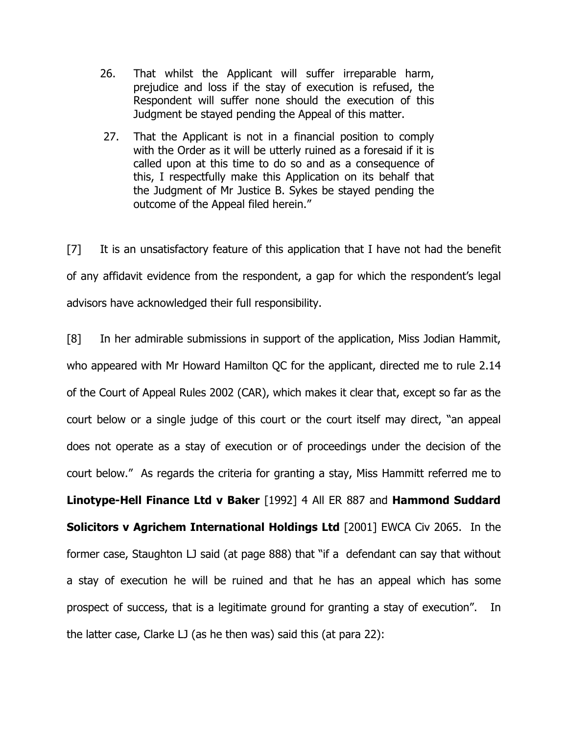- 26. That whilst the Applicant will suffer irreparable harm, prejudice and loss if the stay of execution is refused, the Respondent will suffer none should the execution of this Judgment be stayed pending the Appeal of this matter.
- 27. That the Applicant is not in a financial position to comply with the Order as it will be utterly ruined as a foresaid if it is called upon at this time to do so and as a consequence of this, I respectfully make this Application on its behalf that the Judgment of Mr Justice B. Sykes be stayed pending the outcome of the Appeal filed herein."

[7] It is an unsatisfactory feature of this application that I have not had the benefit of any affidavit evidence from the respondent, a gap for which the respondent's legal advisors have acknowledged their full responsibility.

[8] In her admirable submissions in support of the application, Miss Jodian Hammit, who appeared with Mr Howard Hamilton QC for the applicant, directed me to rule 2.14 of the Court of Appeal Rules 2002 (CAR), which makes it clear that, except so far as the court below or a single judge of this court or the court itself may direct, "an appeal does not operate as a stay of execution or of proceedings under the decision of the court below." As regards the criteria for granting a stay, Miss Hammitt referred me to Linotype-Hell Finance Ltd v Baker [1992] 4 All ER 887 and Hammond Suddard Solicitors v Agrichem International Holdings Ltd [2001] EWCA Civ 2065. In the former case, Staughton LJ said (at page 888) that "if a defendant can say that without a stay of execution he will be ruined and that he has an appeal which has some prospect of success, that is a legitimate ground for granting a stay of execution". In the latter case, Clarke LJ (as he then was) said this (at para 22):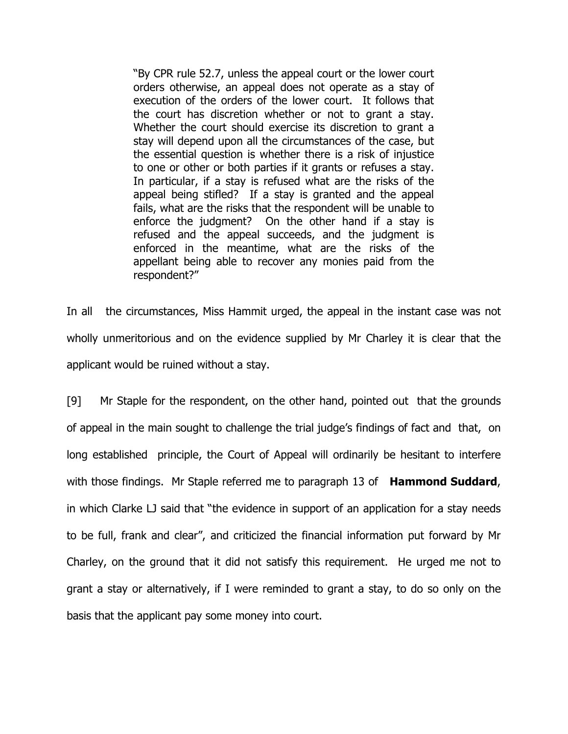"By CPR rule 52.7, unless the appeal court or the lower court orders otherwise, an appeal does not operate as a stay of execution of the orders of the lower court. It follows that the court has discretion whether or not to grant a stay. Whether the court should exercise its discretion to grant a stay will depend upon all the circumstances of the case, but the essential question is whether there is a risk of injustice to one or other or both parties if it grants or refuses a stay. In particular, if a stay is refused what are the risks of the appeal being stifled? If a stay is granted and the appeal fails, what are the risks that the respondent will be unable to enforce the judgment? On the other hand if a stay is refused and the appeal succeeds, and the judgment is enforced in the meantime, what are the risks of the appellant being able to recover any monies paid from the respondent?"

In all the circumstances, Miss Hammit urged, the appeal in the instant case was not wholly unmeritorious and on the evidence supplied by Mr Charley it is clear that the applicant would be ruined without a stay.

[9] Mr Staple for the respondent, on the other hand, pointed out that the grounds of appeal in the main sought to challenge the trial judge's findings of fact and that, on long established principle, the Court of Appeal will ordinarily be hesitant to interfere with those findings. Mr Staple referred me to paragraph 13 of **Hammond Suddard**, in which Clarke LJ said that "the evidence in support of an application for a stay needs to be full, frank and clear", and criticized the financial information put forward by Mr Charley, on the ground that it did not satisfy this requirement. He urged me not to grant a stay or alternatively, if I were reminded to grant a stay, to do so only on the basis that the applicant pay some money into court.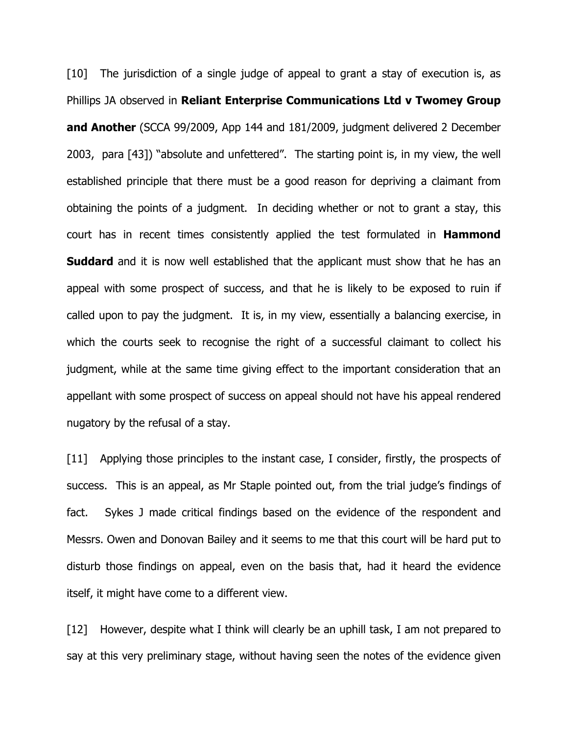[10] The jurisdiction of a single judge of appeal to grant a stay of execution is, as Phillips JA observed in Reliant Enterprise Communications Ltd v Twomey Group and Another (SCCA 99/2009, App 144 and 181/2009, judgment delivered 2 December 2003, para [43]) "absolute and unfettered". The starting point is, in my view, the well established principle that there must be a good reason for depriving a claimant from obtaining the points of a judgment. In deciding whether or not to grant a stay, this court has in recent times consistently applied the test formulated in **Hammond Suddard** and it is now well established that the applicant must show that he has an appeal with some prospect of success, and that he is likely to be exposed to ruin if called upon to pay the judgment. It is, in my view, essentially a balancing exercise, in which the courts seek to recognise the right of a successful claimant to collect his judgment, while at the same time giving effect to the important consideration that an appellant with some prospect of success on appeal should not have his appeal rendered nugatory by the refusal of a stay.

[11] Applying those principles to the instant case, I consider, firstly, the prospects of success. This is an appeal, as Mr Staple pointed out, from the trial judge's findings of fact. Sykes J made critical findings based on the evidence of the respondent and Messrs. Owen and Donovan Bailey and it seems to me that this court will be hard put to disturb those findings on appeal, even on the basis that, had it heard the evidence itself, it might have come to a different view.

[12] However, despite what I think will clearly be an uphill task, I am not prepared to say at this very preliminary stage, without having seen the notes of the evidence given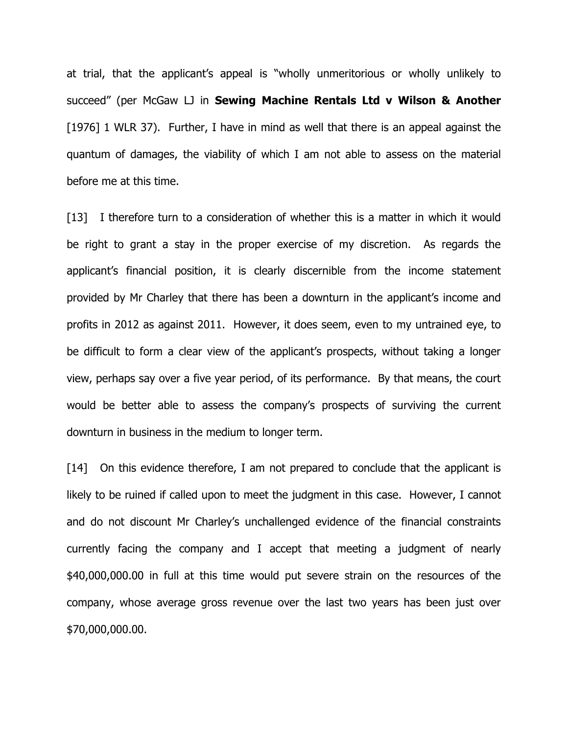at trial, that the applicant's appeal is "wholly unmeritorious or wholly unlikely to succeed" (per McGaw LJ in Sewing Machine Rentals Ltd v Wilson & Another [1976] 1 WLR 37). Further, I have in mind as well that there is an appeal against the quantum of damages, the viability of which I am not able to assess on the material before me at this time.

[13] I therefore turn to a consideration of whether this is a matter in which it would be right to grant a stay in the proper exercise of my discretion. As regards the applicant's financial position, it is clearly discernible from the income statement provided by Mr Charley that there has been a downturn in the applicant's income and profits in 2012 as against 2011. However, it does seem, even to my untrained eye, to be difficult to form a clear view of the applicant's prospects, without taking a longer view, perhaps say over a five year period, of its performance. By that means, the court would be better able to assess the company's prospects of surviving the current downturn in business in the medium to longer term.

[14] On this evidence therefore, I am not prepared to conclude that the applicant is likely to be ruined if called upon to meet the judgment in this case. However, I cannot and do not discount Mr Charley's unchallenged evidence of the financial constraints currently facing the company and I accept that meeting a judgment of nearly \$40,000,000.00 in full at this time would put severe strain on the resources of the company, whose average gross revenue over the last two years has been just over \$70,000,000.00.